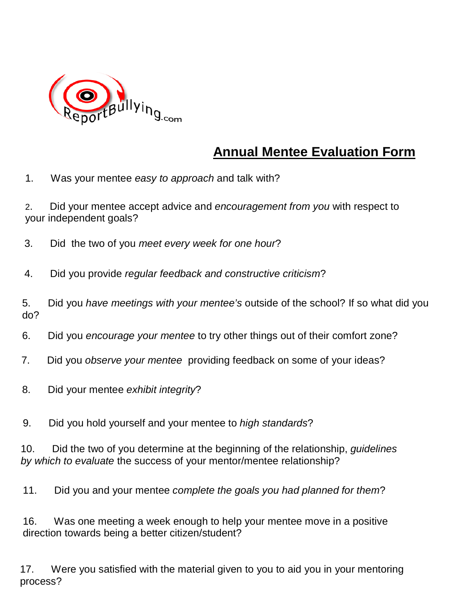

## **Annual Mentee Evaluation Form**

1. Was your mentee *easy to approach* and talk with?

2. Did your mentee accept advice and *encouragement from you* with respect to your independent goals?

3. Did the two of you *meet every week for one hour*?

4. Did you provide *regular feedback and constructive criticism*?

5. Did you *have meetings with your mentee's* outside of the school? If so what did you do?

6. Did you *encourage your mentee* to try other things out of their comfort zone?

7. Did you *observe your mentee* providing feedback on some of your ideas?

8. Did your mentee *exhibit integrity*?

9. Did you hold yourself and your mentee to *high standards*?

10. Did the two of you determine at the beginning of the relationship, *guidelines by which to evaluate* the success of your mentor/mentee relationship?

11. Did you and your mentee *complete the goals you had planned for them*?

16. Was one meeting a week enough to help your mentee move in a positive direction towards being a better citizen/student?

17. Were you satisfied with the material given to you to aid you in your mentoring process?